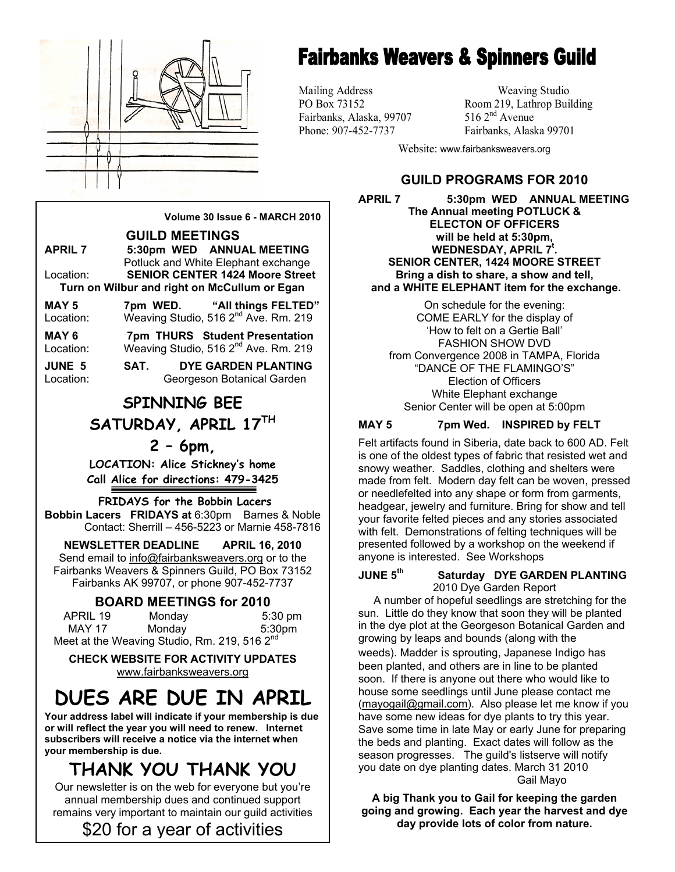

# **Fairbanks Weavers & Spinners Guild**

Mailing Address Weaving Studio Fairbanks, Alaska, 99707

PO Box 73152 Room 219, Lathrop Building<br>Fairbanks. Alaska. 99707 516 2<sup>nd</sup> Avenue Phone: 907-452-7737 Fairbanks, Alaska 99701

Website: www.fairbanksweavers.org

## **GUILD PROGRAMS FOR 2010**

**APRIL 7 5:30pm WED ANNUAL MEETING The Annual meeting POTLUCK & ELECTON OF OFFICERS will be held at 5:30pm, WEDNESDAY, APRIL 7t . SENIOR CENTER, 1424 MOORE STREET Bring a dish to share, a show and tell, and a WHITE ELEPHANT item for the exchange.** 

On schedule for the evening: COME EARLY for the display of 'How to felt on a Gertie Ball' FASHION SHOW DVD from Convergence 2008 in TAMPA, Florida "DANCE OF THE FLAMINGO'S" Election of Officers White Elephant exchange Senior Center will be open at 5:00pm

## **MAY 5 7pm Wed. INSPIRED by FELT**

Felt artifacts found in Siberia, date back to 600 AD. Felt is one of the oldest types of fabric that resisted wet and snowy weather. Saddles, clothing and shelters were made from felt. Modern day felt can be woven, pressed or needlefelted into any shape or form from garments, headgear, jewelry and furniture. Bring for show and tell your favorite felted pieces and any stories associated with felt. Demonstrations of felting techniques will be presented followed by a workshop on the weekend if anyone is interested. See Workshops

#### **JUNE 5th Saturday DYE GARDEN PLANTING**  2010 Dye Garden Report

 A number of hopeful seedlings are stretching for the sun. Little do they know that soon they will be planted in the dye plot at the Georgeson Botanical Garden and growing by leaps and bounds (along with the weeds). Madder is sprouting, Japanese Indigo has been planted, and others are in line to be planted soon. If there is anyone out there who would like to house some seedlings until June please contact me (mayogail@gmail.com). Also please let me know if you have some new ideas for dye plants to try this year. Save some time in late May or early June for preparing the beds and planting. Exact dates will follow as the season progresses. The guild's listserve will notify you date on dye planting dates. March 31 2010 Gail Mayo

**B going and growing. Each year the harvest and dye A big Thank you to Gail for keeping the garden day provide lots of color from nature.** 

**GUILD MEETINGS APRIL 7 5:30pm WED ANNUAL MEETING**  Potluck and White Elephant exchange Location: **SENIOR CENTER 1424 Moore Street Turn on Wilbur and right on McCullum or Egan MAY 5 7pm WED. "All things FELTED"**  Location: Weaving Studio, 516 2<sup>nd</sup> Ave. Rm. 219

**Volume 30 Issue 6 - MARCH 2010** 

**MAY 6 7pm THURS Student Presentation** 

Location: Weaving Studio, 516 2<sup>nd</sup> Ave. Rm. 219

**JUNE 5 SAT. DYE GARDEN PLANTING**  Location: Georgeson Botanical Garden

## **SPINNING BEE SATURDAY, APRIL 17TH**

## **2 – 6pm,**

**LOCATION: Alice Stickney's home Call Alice for directions: 479-3425** 

## **FRIDAYS for the Bobbin Lacers**

**Bobbin Lacers FRIDAYS at** 6:30pm Barnes & Noble Contact: Sherrill – 456-5223 or Marnie 458-7816

**NEWSLETTER DEADLINE APRIL 16, 2010**  Send email to info@fairbanksweavers.org or to the Fairbanks Weavers & Spinners Guild, PO Box 73152 Fairbanks AK 99707, or phone 907-452-7737

## **BOARD MEETINGS for 2010**

APRIL 19 Monday 5:30 pm MAY 17 Monday 5:30pm Meet at the Weaving Studio, Rm. 219, 516 2<sup>nd</sup>

**CHECK WEBSITE FOR ACTIVITY UPDATES**  www.fairbanksweavers.org

# **DUES ARE DUE IN APRIL**

**Your address label will indicate if your membership is due or will reflect the year you will need to renew. Internet subscribers will receive a notice via the internet when your membership is due.** 

## **THANK YOU THANK YOU**

Our newsletter is on the web for everyone but you're annual membership dues and continued support remains very important to maintain our guild activities

\$20 for a year of activities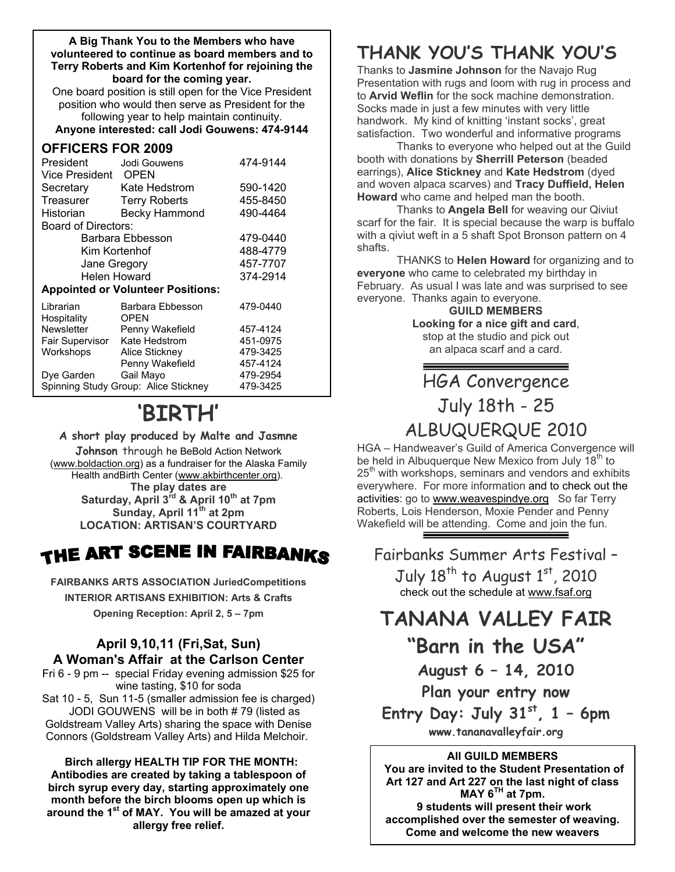#### **A Big Thank You to the Members who have volunteered to continue as board members and to Terry Roberts and Kim Kortenhof for rejoining the board for the coming year.**

One board position is still open for the Vice President position who would then serve as President for the following year to help maintain continuity.

**Anyone interested: call Jodi Gouwens: 474-9144**

## **OFFICERS FOR 2009**

| President<br>Vice President                      | Jodi Gouwens<br>OPEN            | 474-9144 |  |
|--------------------------------------------------|---------------------------------|----------|--|
| Secretary                                        | Kate Hedstrom                   | 590-1420 |  |
| Treasurer                                        | <b>Terry Roberts</b>            | 455-8450 |  |
| Historian                                        | <b>Becky Hammond</b>            | 490-4464 |  |
| <b>Board of Directors:</b>                       |                                 |          |  |
| Barbara Ebbesson                                 |                                 | 479-0440 |  |
| Kim Kortenhof                                    |                                 | 488-4779 |  |
| Jane Gregory                                     |                                 | 457-7707 |  |
| Helen Howard                                     |                                 | 374-2914 |  |
| <b>Appointed or Volunteer Positions:</b>         |                                 |          |  |
| Librarian<br>Hospitality                         | Barbara Ebbesson<br><b>OPEN</b> | 479-0440 |  |
| <b>Newsletter</b>                                | Penny Wakefield                 | 457-4124 |  |
| Fair Supervisor                                  | Kate Hedstrom                   | 451-0975 |  |
| Workshops                                        | <b>Alice Stickney</b>           | 479-3425 |  |
|                                                  | Penny Wakefield                 | 457-4124 |  |
| Dye Garden                                       | Gail Mayo                       | 479-2954 |  |
| Spinning Study Group: Alice Stickney<br>479-3425 |                                 |          |  |

# **'BIRTH'**

## **A short play produced by Malte and Jasmne**

**Johnson** through he BeBold Action Network (www.boldaction.org) as a fundraiser for the Alaska Family Health andBirth Center (www.akbirthcenter.org). **The play dates are Saturday, April 3rd & April 10th at 7pm Sunday, April 11th at 2pm LOCATION: ARTISAN'S COURTYARD** 

## THE ART SCENE IN FAIRBANKS

**FAIRBANKS ARTS ASSOCIATION JuriedCompetitions INTERIOR ARTISANS EXHIBITION: Arts & Crafts Opening Reception: April 2, 5 – 7pm** 

## **April 9,10,11 (Fri,Sat, Sun) A Woman's Affair at the Carlson Center**

Fri 6 - 9 pm -- special Friday evening admission \$25 for wine tasting, \$10 for soda Sat 10 - 5, Sun 11-5 (smaller admission fee is charged) JODI GOUWENS will be in both # 79 (listed as

Goldstream Valley Arts) sharing the space with Denise Connors (Goldstream Valley Arts) and Hilda Melchoir.

**Birch allergy HEALTH TIP FOR THE MONTH: Antibodies are created by taking a tablespoon of birch syrup every day, starting approximately one month before the birch blooms open up which is around the 1st of MAY. You will be amazed at your allergy free relief.**

## **THANK YOU'S THANK YOU'S**

Thanks to **Jasmine Johnson** for the Navajo Rug Presentation with rugs and loom with rug in process and to **Arvid Weflin** for the sock machine demonstration. Socks made in just a few minutes with very little handwork. My kind of knitting 'instant socks', great satisfaction. Two wonderful and informative programs

 Thanks to everyone who helped out at the Guild booth with donations by **Sherrill Peterson** (beaded earrings), **Alice Stickney** and **Kate Hedstrom** (dyed and woven alpaca scarves) and **Tracy Duffield, Helen Howard** who came and helped man the booth.

 Thanks to **Angela Bell** for weaving our Qiviut scarf for the fair. It is special because the warp is buffalo with a qiviut weft in a 5 shaft Spot Bronson pattern on 4 shafts.

 THANKS to **Helen Howard** for organizing and to **everyone** who came to celebrated my birthday in February. As usual I was late and was surprised to see everyone. Thanks again to everyone.

**GUILD MEMBERS Looking for a nice gift and card**, stop at the studio and pick out an alpaca scarf and a card.

## HGA Convergence July 18th - 25 ALBUQUERQUE 2010

HGA – Handweaver's Guild of America Convergence will be held in Albuquerque New Mexico from July 18<sup>th</sup> to  $25<sup>th</sup>$  with workshops, seminars and vendors and exhibits everywhere. For more information and to check out the activities: go to www.weavespindye.org So far Terry Roberts, Lois Henderson, Moxie Pender and Penny Wakefield will be attending. Come and join the fun.

Fairbanks Summer Arts Festival – July  $18^{th}$  to August  $1<sup>st</sup>$ , 2010 check out the schedule at www.fsaf.org

**TANANA VALLEY FAIR** 

**"Barn in the USA"** 

**August 6 – 14, 2010** 

**Plan your entry now** 

Entry Day: July  $31<sup>st</sup>$ , 1 - 6pm **www.tananavalleyfair.org** 

## **All GUILD MEMBERS**

 **You are invited to the Student Presentation of Art 127 and Art 227 on the last night of class MAY 6TH at 7pm. 9 students will present their work accomplished over the semester of weaving. Come and welcome the new weavers**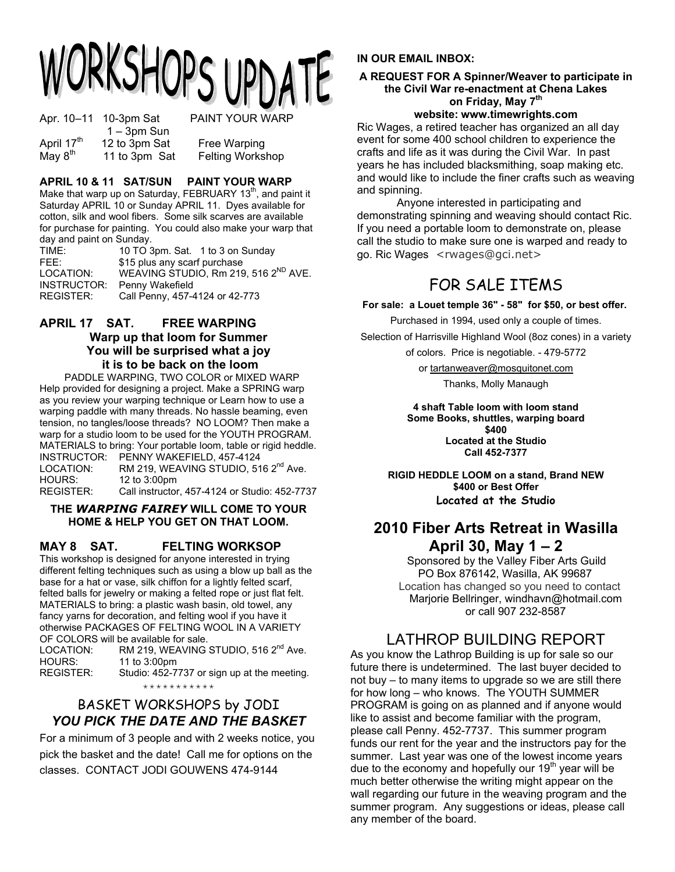# ORKSHOPS UPDA

Apr. 10-11 10-3pm Sat PAINT YOUR WARP  $1 - 3$ pm Sun<br>April 17<sup>th</sup> 12 to 3pm Sat 12 to 3pm Sat Free Warping May  $8<sup>th</sup>$  11 to 3pm Sat Felting Workshop

## **APRIL 10 & 11 SAT/SUN PAINT YOUR WARP**

Make that warp up on Saturday, FEBRUARY 13<sup>th</sup>, and paint it Saturday APRIL 10 or Sunday APRIL 11. Dyes available for cotton, silk and wool fibers. Some silk scarves are available for purchase for painting. You could also make your warp that day and paint on Sunday.

| TIME:       | 10 TO 3pm. Sat. 1 to 3 on Sunday                 |
|-------------|--------------------------------------------------|
| FFF:        | \$15 plus any scarf purchase                     |
| LOCATION:   | WEAVING STUDIO, Rm 219, 516 2 <sup>ND</sup> AVE. |
| INSTRUCTOR: | Penny Wakefield                                  |
| REGISTER:   | Call Penny, 457-4124 or 42-773                   |

#### **APRIL 17 SAT. FREE WARPING Warp up that loom for Summer You will be surprised what a joy it is to be back on the loom**

 PADDLE WARPING, TWO COLOR or MIXED WARP Help provided for designing a project. Make a SPRING warp as you review your warping technique or Learn how to use a warping paddle with many threads. No hassle beaming, even tension, no tangles/loose threads? NO LOOM? Then make a warp for a studio loom to be used for the YOUTH PROGRAM. MATERIALS to bring: Your portable loom, table or rigid heddle. INSTRUCTOR: PENNY WAKEFIELD, 457-4124 LOCATION: RM 219, WEAVING STUDIO, 516 2<sup>nd</sup> Ave. HOURS: 12 to 3:00pm

REGISTER: Call instructor, 457-4124 or Studio: 452-7737

#### **THE** *WARPING FAIREY* **WILL COME TO YOUR HOME & HELP YOU GET ON THAT LOOM.**

## **MAY 8 SAT. FELTING WORKSOP**

This workshop is designed for anyone interested in trying different felting techniques such as using a blow up ball as the base for a hat or vase, silk chiffon for a lightly felted scarf, felted balls for jewelry or making a felted rope or just flat felt. MATERIALS to bring: a plastic wash basin, old towel, any fancy yarns for decoration, and felting wool if you have it otherwise PACKAGES OF FELTING WOOL IN A VARIETY OF COLORS will be available for sale.

LOCATION: RM 219, WEAVING STUDIO, 516 2<sup>nd</sup> Ave. HOURS: 11 to 3:00pm

REGISTER: Studio: 452-7737 or sign up at the meeting.

\*\*\*\*\*\*\*\*\*\*\*

## BASKET WORKSHOPS by JODI *YOU PICK THE DATE AND THE BASKET*

For a minimum of 3 people and with 2 weeks notice, you pick the basket and the date! Call me for options on the classes. CONTACT JODI GOUWENS 474-9144

## **IN OUR EMAIL INBOX:**

#### **A REQUEST FOR A Spinner/Weaver to participate in the Civil War re-enactment at Chena Lakes** on Friday, May 7<sup>th</sup> **website: www.timewrights.com**

Ric Wages, a retired teacher has organized an all day event for some 400 school children to experience the crafts and life as it was during the Civil War. In past years he has included blacksmithing, soap making etc. and would like to include the finer crafts such as weaving and spinning.

 Anyone interested in participating and demonstrating spinning and weaving should contact Ric. If you need a portable loom to demonstrate on, please call the studio to make sure one is warped and ready to go. Ric Wages <rwages@gci.net>

## FOR SALE ITEMS

**For sale: a Louet temple 36" - 58" for \$50, or best offer.**

Purchased in 1994, used only a couple of times. Selection of Harrisville Highland Wool (8oz cones) in a variety

of colors. Price is negotiable. - 479-5772

or tartanweaver@mosquitonet.com

Thanks, Molly Manaugh

**4 shaft Table loom with loom stand Some Books, shuttles, warping board \$400 Located at the Studio Call 452-7377** 

**RIGID HEDDLE LOOM on a stand, Brand NEW \$400 or Best Offer Located at the Studio** 

## **2010 Fiber Arts Retreat in Wasilla April 30, May 1 – 2**

Sponsored by the Valley Fiber Arts Guild PO Box 876142, Wasilla, AK 99687 Location has changed so you need to contact Marjorie Bellringer, windhavn@hotmail.com or call 907 232-8587

## LATHROP BUILDING REPORT

As you know the Lathrop Building is up for sale so our future there is undetermined. The last buyer decided to not buy – to many items to upgrade so we are still there for how long – who knows. The YOUTH SUMMER PROGRAM is going on as planned and if anyone would like to assist and become familiar with the program, please call Penny. 452-7737. This summer program funds our rent for the year and the instructors pay for the summer. Last year was one of the lowest income years due to the economy and hopefully our  $19<sup>th</sup>$  year will be much better otherwise the writing might appear on the wall regarding our future in the weaving program and the summer program. Any suggestions or ideas, please call any member of the board.